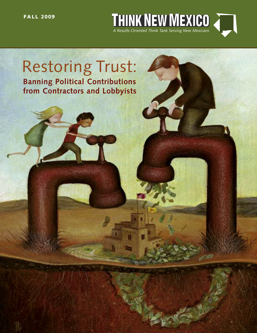**FA LL 2009**



# Restoring Trust: **Banning Political Contributions from Contractors and Lobbyists**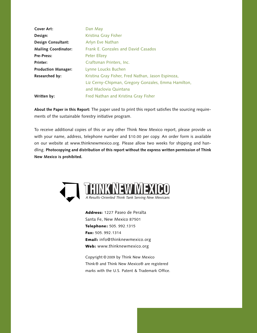| Cover Art:                  | Dan May                                             |  |
|-----------------------------|-----------------------------------------------------|--|
| Design:                     | Kristina Gray Fisher                                |  |
| Design Consultant:          | Arlyn Eve Nathan                                    |  |
| <b>Mailing Coordinator:</b> | Frank E. Gonzales and David Casados                 |  |
| <b>Pre-Press:</b>           | Peter Ellzey                                        |  |
| Printer:                    | Craftsman Printers, Inc.                            |  |
| <b>Production Manager:</b>  | Lynne Loucks Buchen                                 |  |
| Researched by:              | Kristina Gray Fisher, Fred Nathan, Jason Espinoza,  |  |
|                             | Liz Cerny-Chipman, Gregory Gonzales, Emma Hamilton, |  |
|                             | and Maclovia Quintana                               |  |
| Written by:                 | Fred Nathan and Kristina Gray Fisher                |  |

**About the Paper in this Report:** The paper used to print this report satisfies the sourcing requirements of the sustainable forestry initiative program.

To receive additional copies of this or any other Think New Mexico report, please provide us with your name, address, telephone number and \$10.00 per copy. An order form is available on our website at www.thinknewmexico.org. Please allow two weeks for shipping and handling. **Photocopying and distribution of this report without the express written permission of Think New Mexico is prohibited.**



**Address:** 1227 Paseo de Peralta Santa Fe, New Mexico 87501 **Telephone:** 505. 992.1315 **Fax:** 505. 992.1314 **Email:** info@thinknewmexico.org **Web:** www.thinknewmexico.org

Copyright © 2009 by Think New Mexico Think® and Think New Mexico® are registered marks with the U.S. Patent & Trademark Office.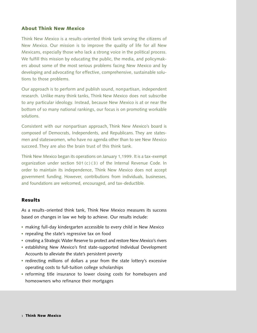#### **About Think New Mexico**

Think New Mexico is a results-oriented think tank serving the citizens of New Mexico. Our mission is to improve the quality of life for all New Mexicans, especially those who lack a strong voice in the political process. We fulfill this mission by educating the public, the media, and policymakers about some of the most serious problems facing New Mexico and by developing and advocating for effective, comprehensive, sustainable solutions to those problems.

Our approach is to perform and publish sound, nonpartisan, independent research. Unlike many think tanks, Think New Mexico does not subscribe to any particular ideology. Instead, because New Mexico is at or near the bottom of so many national rankings, our focus is on promoting workable solutions.

Consistent with our nonpartisan approach, Think New Mexico's board is composed of Democrats, Independents, and Republicans. They are statesmen and stateswomen, who have no agenda other than to see New Mexico succeed. They are also the brain trust of this think tank.

Think New Mexico began its operations on January 1,1999. It is a tax-exempt organization under section 501 (c )(3) of the Internal Revenue Code. In order to maintain its independence, Think New Mexico does not accept government funding. However, contributions from individuals, businesses, and foundations are welcomed, encouraged, and tax-deductible.

#### **Results**

As a results-oriented think tank, Think New Mexico measures its success based on changes in law we help to achieve. Our results include:

- making full-day kindergarten accessible to every child in New Mexico **·**
- repealing the state's regressive tax on food **·**
- creating a Strategic Water Reserve to protect and restore New Mexico's rivers **·**
- establishing New Mexico's first state-supported Individual Development **·** Accounts to alleviate the state's persistent poverty
- redirecting millions of dollars a year from the state lottery's excessive operating costs to full-tuition college scholarships
- reforming title insurance to lower closing costs for homebuyers and **·** homeowners who refinance their mortgages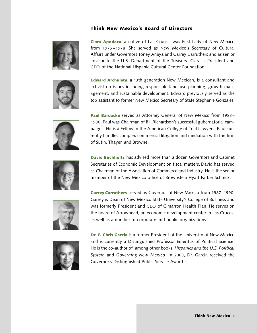#### **Think New Mexico's Board of Directors**



**Clara Apodaca**, a native of Las Cruces, was First Lady of New Mexico from 1975 – 1978. She served as New Mexico's Secretary of Cultural Affairs under Governors Toney Anaya and Garrey Carruthers and as senior advisor to the U.S. Department of the Treasury. Clara is President and CEO of the National Hispanic Cultural Center Foundation.

**Edward Archuleta**, a 13th generation New Mexican, is a consultant and activist on issues including responsible land-use planning, growth management, and sustainable development. Edward previously served as the top assistant to former New Mexico Secretary of State Stephanie Gonzales.



**Paul Bardacke** served as Attorney General of New Mexico from 1983 – 1986. Paul was Chairman of Bill Richardson's successful gubernatorial campaigns. He is a Fellow in the American College of Trial Lawyers. Paul currently handles complex commercial litigation and mediation with the firm of Sutin, Thayer, and Browne.



**David Buchholtz** has advised more than a dozen Governors and Cabinet Secretaries of Economic Development on fiscal matters. David has served as Chairman of the Association of Commerce and Industry. He is the senior member of the New Mexico office of Brownstein Hyatt Farber Schreck.



**Garrey Carruthers** served as Governor of New Mexico from 1987–1990. Garrey is Dean of New Mexico State University's College of Business and was formerly President and CEO of Cimarron Health Plan. He serves on the board of Arrowhead, an economic development center in Las Cruces, as well as a number of corporate and public organizations.



**Dr. F. Chris Garcia** is a former President of the University of New Mexico and is currently a Distinguished Professor Emeritus of Political Science. He is the co-author of, among other books, *Hispanics and the U.S. Political System* and *Governing New Mexico*. In 2003, Dr. Garcia received the Governor's Distinguished Public Service Award.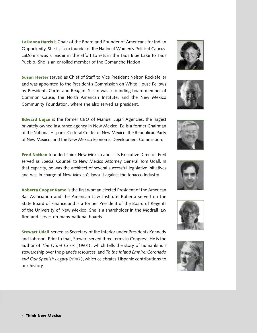**LaDonna Harris** is Chair of the Board and Founder of Americans for Indian Opportunity. She is also a founder of the National Women's Political Caucus. LaDonna was a leader in the effort to return the Taos Blue Lake to Taos Pueblo. She is an enrolled member of the Comanche Nation.

**Susan Herter** served as Chief of Staff to Vice President Nelson Rockefeller and was appointed to the President's Commission on White House Fellows by Presidents Carter and Reagan. Susan was a founding board member of Common Cause, the North American Institute, and the New Mexico Community Foundation, where she also served as president.

**Edward Lujan** is the former CEO of Manuel Lujan Agencies, the largest privately owned insurance agency in New Mexico. Ed is a former Chairman of the National Hispanic Cultural Center of New Mexico, the Republican Party of New Mexico, and the New Mexico Economic Development Commission.

**Fred Nathan** founded Think New Mexico and is its Executive Director. Fred served as Special Counsel to New Mexico Attorney General Tom Udall. In that capacity, he was the architect of several successful legislative initiatives and was in charge of New Mexico's lawsuit against the tobacco industry.

**Roberta Cooper Ramo** is the first woman elected President of the American Bar Association and the American Law Institute. Roberta served on the State Board of Finance and is a former President of the Board of Regents of the University of New Mexico. She is a shareholder in the Modrall law firm and serves on many national boards.

**Stewart Udall** served as Secretary of the Interior under Presidents Kennedy and Johnson. Prior to that, Stewart served three terms in Congress. He is the author of *The Quiet Crisis* (1963 ), which tells the story of humankind's stewardship over the planet's resources, and *To the Inland Empire:Coronado and Our Spanish Legacy* (1987 ), which celebrates Hispanic contributions to our history.











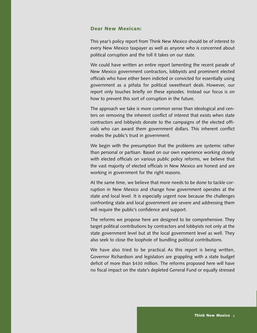#### **Dear New Mexican:**

This year's policy report from Think New Mexico should be of interest to every New Mexico taxpayer as well as anyone who is concerned about political corruption and the toll it takes on our state.

We could have written an entire report lamenting the recent parade of New Mexico government contractors, lobbyists and prominent elected officials who have either been indicted or convicted for essentially using government as a piñata for political sweetheart deals. However, our report only touches briefly on these episodes. Instead our focus is on how to prevent this sort of corruption in the future.

The approach we take is more common sense than ideological and centers on removing the inherent conflict of interest that exists when state contractors and lobbyists donate to the campaigns of the elected officials who can award them government dollars. This inherent conflict erodes the public's trust in government.

We begin with the presumption that the problems are systemic rather than personal or partisan. Based on our own experience working closely with elected officials on various public policy reforms, we believe that the vast majority of elected officials in New Mexico are honest and are working in government for the right reasons.

At the same time, we believe that more needs to be done to tackle corruption in New Mexico and change how government operates at the state and local level. It is especially urgent now because the challenges confronting state and local government are severe and addressing them will require the public's confidence and support.

The reforms we propose here are designed to be comprehensive. They target political contributions by contractors and lobbyists not only at the state government level but at the local government level as well. They also seek to close the loophole of bundling political contributions.

We have also tried to be practical. As this report is being written, Governor Richardson and legislators are grappling with a state budget deficit of more than \$430 million. The reforms proposed here will have no fiscal impact on the state's depleted General Fund or equally stressed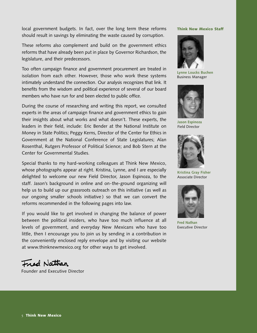local government budgets. In fact, over the long term these reforms should result in savings by eliminating the waste caused by corruption.

These reforms also complement and build on the government ethics reforms that have already been put in place by Governor Richardson, the legislature, and their predecessors.

Too often campaign finance and government procurement are treated in isolation from each other. However, those who work these systems intimately understand the connection. Our analysis recognizes that link. It benefits from the wisdom and political experience of several of our board members who have run for and been elected to public office.

During the course of researching and writing this report, we consulted experts in the areas of campaign finance and government ethics to gain their insights about what works and what doesn't. These experts, the leaders in their field, include: Eric Bender at the National Institute on Money in State Politics; Peggy Kerns, Director of the Center for Ethics in Government at the National Conference of State Legislatures; Alan Rosenthal, Rutgers Professor of Political Science; and Bob Stern at the Center for Governmental Studies.

Special thanks to my hard-working colleagues at Think New Mexico, whose photographs appear at right. Kristina, Lynne, and I are especially delighted to welcome our new Field Director, Jason Espinoza, to the staff. Jason's background in online and on-the-ground organizing will help us to build up our grassroots outreach on this initiative (as well as our ongoing smaller schools initiative ) so that we can convert the reforms recommended in the following pages into law.

If you would like to get involved in changing the balance of power between the political insiders, who have too much influence at all levels of government, and everyday New Mexicans who have too little, then I encourage you to join us by sending in a contribution in the conveniently enclosed reply envelope and by visiting our website at www.thinknewmexico.org for other ways to get involved.

Fred Nathan

Founder and Executive Director

#### **Think New Mexico Staff**



**Lynne Loucks Buchen** Business Manager



**Jason Espinoza** Field Director



**Kristina Gray Fisher** Associate Director



**Fred Nathan** Executive Director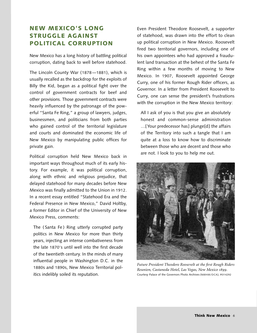# **NEW MEXICO'S LONG STRUGGLE AGAINST POLITICAL CORRUPTION**

New Mexico has a long history of battling political corruption, dating back to well before statehood.

The Lincoln County War (1878 —1881), which is usually recalled as the backdrop for the exploits of Billy the Kid, began as a political fight over the control of government contracts for beef and other provisions. Those government contracts were heavily influenced by the patronage of the powerful "Santa Fe Ring," a group of lawyers, judges, businessmen, and politicians from both parties who gained control of the territorial legislature and courts and dominated the economic life of New Mexico by manipulating public offices for private gain.

Political corruption held New Mexico back in important ways throughout much of its early history. For example, it was political corruption, along with ethnic and religious prejudice, that delayed statehood for many decades before New Mexico was finally admitted to the Union in 1912. In a recent essay entitled "Statehood Era and the Federal Presence in New Mexico," David Holtby, a former Editor in Chief of the University of New Mexico Press, comments:

The (Santa Fe) Ring utterly corrupted party politics in New Mexico for more than thirty years, injecting an intense combativeness from the late 1870's until well into the first decade of the twentieth century. In the minds of many influential people in Washington D.C. in the 1880s and 1890s, New Mexico Territorial politics indelibly soiled its reputation.

Even President Theodore Roosevelt, a supporter of statehood, was drawn into the effort to clean up political corruption in New Mexico. Roosevelt fired two territorial governors, including one of his own appointees who had approved a fraudulent land transaction at the behest of the Santa Fe Ring within a few months of moving to New Mexico. In 1907, Roosevelt appointed George Curry, one of his former Rough Rider officers, as Governor. In a letter from President Roosevelt to Curry, one can sense the president's frustrations with the corruption in the New Mexico territory:

All I ask of you is that you give an absolutely honest and common-sense administration …[Your predecessor has] plunge[d] the affairs of the Territory into such a tangle that I am quite at a loss to know how to discriminate between those who are decent and those who are not. I look to you to help me out.



*Future President Theodore Roosevelt at the first Rough Riders Reunion, Castaneda Hotel, Las Vegas, New Mexico .* Courtesy Palace of the Governors Photo Archives (NMHM/DCA), #014292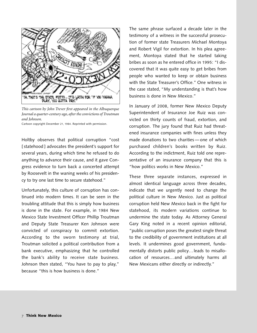

*This cartoon by John Trever first appeared in the Albuquerque Journal a quarter-century ago, after theconvictions of Troutman and Johnson.*

Cartoon copyright December 21, 1984. Reprinted with permission.

Holtby observes that political corruption "cost [statehood ] advocates the president's support for several years, during which time he refused to do anything to advance their cause, and it gave Congress evidence to turn back a concerted attempt by Roosevelt in the waning weeks of his presidency to try one last time to secure statehood."

Unfortunately, this culture of corruption has continued into modern times. It can be seen in the troubling attitude that this is simply how business is done in the state. For example, in 1984 New Mexico State Investment Officer Phillip Troutman and Deputy State Treasurer Ken Johnson were convicted of conspiracy to commit extortion. According to the sworn testimony at trial, Troutman solicited a political contribution from a bank executive, emphasizing that he controlled the bank's ability to receive state business. Johnson then stated, "You have to pay to play," because "this is how business is done."

The same phrase surfaced a decade later in the testimony of a witness in the successful prosecution of former state Treasurers Michael Montoya and Robert Vigil for extortion. In his plea agreement, Montoya stated that he started taking bribes as soon as he entered office in 1995: "I discovered that it was quite easy to get bribes from people who wanted to keep or obtain business with the State Treasurer's Office." One witness in the case stated, "My understanding is that's how business is done in New Mexico."

In January of 2008, former New Mexico Deputy Superintendent of Insurance Joe Ruiz was convicted on thirty counts of fraud, extortion, and corruption. The jury found that Ruiz had threatened insurance companies with fines unless they made donations to two charities — one of which purchased children's books written by Ruiz. According to the indictment, Ruiz told one representative of an insurance company that this is "how politics works in New Mexico."

These three separate instances, expressed in almost identical language across three decades, indicate that we urgently need to change the political culture in New Mexico. Just as political corruption held New Mexico back in the fight for statehood, its modern variations continue to undermine the state today. As Attorney General Gary King noted in a recent opinion editorial, "public corruption poses the greatest single threat to the credibility of government institutions at all levels. It undermines good government, fundamentally distorts public policy…leads to misallocation of resources…and ultimately harms all New Mexicans either directly or indirectly."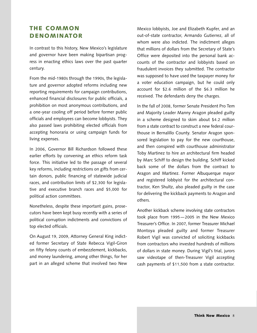## **THE COMMON DENOMINATOR**

In contrast to this history, New Mexico's legislature and governor have been making bipartisan progress in enacting ethics laws over the past quarter century.

From the mid-1980s through the 1990s, the legislature and governor adopted reforms including new reporting requirements for campaign contributions, enhanced financial disclosures for public officials, a prohibition on most anonymous contributions, and a one-year cooling off period before former public officials and employees can become lobbyists. They also passed laws prohibiting elected officials from accepting honoraria or using campaign funds for living expenses.

In 2006, Governor Bill Richardson followed these earlier efforts by convening an ethics reform task force. This initiative led to the passage of several key reforms, including restrictions on gifts from certain donors, public financing of statewide judicial races, and contribution limits of \$2,300 for legislative and executive branch races and \$5,000 for political action committees.

Nonetheless, despite these important gains, prosecutors have been kept busy recently with a series of political corruption indictments and convictions of top elected officials.

On August 19, 2009, Attorney General King indicted former Secretary of State Rebecca Vigil-Giron on fifty felony counts of embezzlement, kickbacks, and money laundering, among other things, for her part in an alleged scheme that involved two New Mexico lobbyists, Joe and Elizabeth Kupfer, and an out-of-state contractor, Armando Gutierrez, all of whom were also indicted. The indictment alleges that millions of dollars from the Secretary of State's Office were deposited into the personal bank accounts of the contractor and lobbyists based on fraudulent invoices they submitted. The contractor was supposed to have used the taxpayer money for a voter education campaign, but he could only account for \$2.6 million of the \$6.3 million he received. The defendants deny the charges.

In the fall of 2008, former Senate President Pro Tem and Majority Leader Manny Aragon pleaded guilty in a scheme designed to skim about \$4.2 million from a state contract to construct a new federal courthouse in Bernalillo County. Senator Aragon sponsored legislation to pay for the new courthouse, and then conspired with courthouse administrator Toby Martinez to hire an architectural firm headed by Marc Schiff to design the building. Schiff kicked back some of the dollars from the contract to Aragon and Martinez. Former Albuquerque mayor and registered lobbyist for the architectural contractor, Ken Shultz, also pleaded guilty in the case for delivering the kickback payments to Aragon and others.

Another kickback scheme involving state contractors took place from 1995— 2005 in the New Mexico Treasurer's Office. In 2007, former Treasurer Michael Montoya pleaded guilty and former Treasurer Robert Vigil was convicted of soliciting kickbacks from contractors who invested hundreds of millions of dollars in state money. During Vigil's trial, jurors saw videotape of then-Treasurer Vigil accepting cash payments of \$11,500 from a state contractor.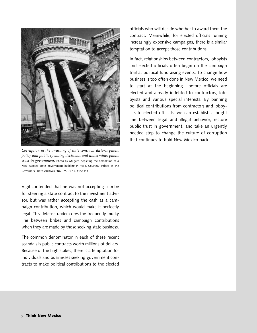

*Corruption in the awarding of state contracts distorts public policy and public spending decisions, and undermines public trust in government.* Photo by Mugatt, depicting the demolition of a New Mexico state government building in 1951. Courtesy Palace of the Governors Photo Archives ( NMHM/DCA ), #056414

Vigil contended that he was not accepting a bribe for steering a state contract to the investment advisor, but was rather accepting the cash as a campaign contribution, which would make it perfectly legal. This defense underscores the frequently murky line between bribes and campaign contributions when they are made by those seeking state business.

The common denominator in each of these recent scandals is public contracts worth millions of dollars. Because of the high stakes, there is a temptation for individuals and businesses seeking government contracts to make political contributions to the elected

officials who will decide whether to award them the contract. Meanwhile, for elected officials running increasingly expensive campaigns, there is a similar temptation to accept those contributions.

In fact, relationships between contractors, lobbyists and elected officials often begin on the campaign trail at political fundraising events. To change how business is too often done in New Mexico, we need to start at the beginning— before officials are elected and already indebted to contractors, lobbyists and various special interests. By banning political contributions from contractors and lobbyists to elected officials, we can establish a bright line between legal and illegal behavior, restore public trust in government, and take an urgently needed step to change the culture of corruption that continues to hold New Mexico back.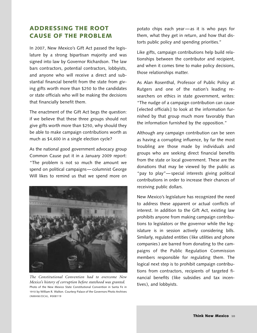## **ADDRESSING THE ROOT CAUSE OF THE PROBLEM**

In 2007, New Mexico's Gift Act passed the legislature by a strong bipartisan majority and was signed into law by Governor Richardson. The law bars contractors, potential contractors, lobbyists, and anyone who will receive a direct and substantial financial benefit from the state from giving gifts worth more than \$250 to the candidates or state officials who will be making the decisions that financially benefit them.

The enactment of the Gift Act begs the question: if we believe that these three groups should not give gifts worth more than \$250, why should they be able to make campaign contributions worth as much as \$4,600 in a single election cycle?

As the national good government advocacy group Common Cause put it in a January 2009 report: "The problem is not so much the amount we spend on political campaigns— columnist George Will likes to remind us that we spend more on



*The Constitutional Convention had to overcome New Mexico's history of corruption before statehood was granted.* Photo of the New Mexico State Constitutional Convention in Santa Fe in 1910 by William R. Walton. Courtesy Palace of the Governors Photo Archives (NMHM/DCA), #008119

potato chips each year —as it is who pays for them, what they get in return, and how that distorts public policy and spending priorities."

Like gifts, campaign contributions help build relationships between the contributor and recipient, and when it comes time to make policy decisions, those relationships matter.

As Alan Rosenthal, Professor of Public Policy at Rutgers and one of the nation's leading researchers on ethics in state government, writes: "The nudge of a campaign contribution can cause [ elected officials] to look at the information furnished by that group much more favorably than the information furnished by the opposition."

Although any campaign contribution can be seen as having a corrupting influence, by far the most troubling are those made by individuals and groups who are seeking direct financial benefits from the state or local government. These are the donations that may be viewed by the public as "pay to play"— special interests giving political contributions in order to increase their chances of receiving public dollars.

New Mexico's legislature has recognized the need to address these apparent or actual conflicts of interest. In addition to the Gift Act, existing law prohibits anyone from making campaign contributions to legislators or the governor while the legislature is in session actively considering bills. Similarly, regulated entities ( like utilities and phone companies) are barred from donating to the campaigns of the Public Regulation Commission members responsible for regulating them. The logical next step is to prohibit campaign contributions from contractors, recipients of targeted financial benefits (like subsidies and tax incentives), and lobbyists.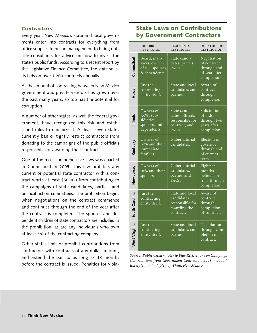#### **Contractors**

Every year, New Mexico's state and local governments enter into contracts for everything from office supplies to prison management to hiring outside consultants for advice on how to invest the state's public funds. According to a recent report by the Legislative Finance Committee, the state solicits bids on over 1,200 contracts annually.

As the amount of contracting between New Mexico government and private vendors has grown over the past many years, so too has the potential for corruption.

A number of other states, as well the federal government, have recognized this risk and established rules to minimize it. At least seven states currently ban or tightly restrict contractors from donating to the campaigns of the public officials responsible for awarding their contracts.

One of the most comprehensive laws was enacted in Connecticut in 2005. This law prohibits any current or potential state contractor with a contract worth at least \$50,000 from contributing to the campaigns of state candidates, parties, and political action committees. The prohibition begins when negotiations on the contract commence and continues through the end of the year after the contract is completed. The spouses and dependent children of state contractors are included in the prohibition, as are any individuals who own at least 5% of the contracting company.

Other states limit or prohibit contributions from contractors with contracts of any dollar amount, and extend the ban to as long as 18 months before the contract is issued. Penalties for viola-

## **State Laws on Contributions by Government Contractors**

|                | <b>DONORS</b><br><b>RESTRICTED</b>                                   | <b>RECIPIENTS</b><br><b>RESTRICTED</b>                                                     | <b>DURATION OF</b><br><b>RESTRICTION</b>                                  |
|----------------|----------------------------------------------------------------------|--------------------------------------------------------------------------------------------|---------------------------------------------------------------------------|
| Connecticut    | Board, man-<br>agers, owners<br>of 5%, spouses,<br>& dependents.     | State candi-<br>dates, parties,<br>PAC <sub>s</sub> .                                      | Negotiation<br>of contract<br>through end<br>of year after<br>completion. |
| Hawaii         | Just the<br>contracting<br>entity itself.                            | State and local<br>candidates and<br>parties.                                              | Award of<br>contract<br>through<br>completion.                            |
| llinois        | Owners of<br>7.5%, sub-<br>sidiaries,<br>spouses, and<br>dependents. | State candi-<br>dates, officials<br>responsible for<br>contract, and<br>PAC <sub>s</sub> . | Solicitation<br>of bids<br>through two<br>years after<br>completion.      |
| Kentucky       | Owners of<br>10% and their<br>immediate<br>families.                 | Gubernatorial<br>candidates.                                                               | Election of<br>governor<br>through end<br>of current<br>term.             |
| New Jersey     | Owners of<br>10% and their<br>spouses.                               | Gubernatorial<br>candidates,<br>parties, and<br>PAC <sub>s</sub> .                         | Eighteen<br>months<br>before con-<br>tract through<br>completion.         |
| South Carolina | Just the<br>contracting<br>entity itself.                            | State and local<br>candidates<br>responsible for<br>awarding the<br>contract.              | Award of<br>contract<br>through<br>completion<br>of contract.             |
| West Virginia  | Just the<br>contracting<br>entity itself.                            | State and local<br>candidates and<br>parties.                                              | Negotiation<br>through com-<br>pletion of<br>contract.                    |

*Source: Public Citizen, "Pay to Play Restrictions on Campaign Contributions from Government Contractors — ." Excerpted and adapted by Think New Mexico.*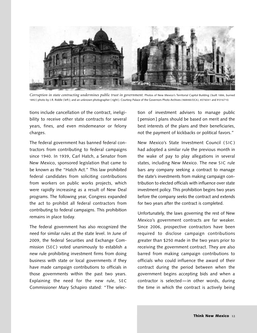

*Corruption in state contracting undermines public trust in government.* Photos of New Mexico's Territorial Capitol Building ( built 1886, burned 1892 ) photo by J.R. Riddle ( left ); and an unknown photographer ( right ). Courtesy Palace of the Governors Photo Archives ( NMHM/DCA), #076041 and # 016710.

tions include cancellation of the contract, ineligibility to receive other state contracts for several years, fines, and even misdemeanor or felony charges.

The federal government has banned federal contractors from contributing to federal campaigns since 1940. In 1939, Carl Hatch, a Senator from New Mexico, sponsored legislation that came to be known as the "Hatch Act." This law prohibited federal candidates from soliciting contributions from workers on public works projects, which were rapidly increasing as a result of New Deal programs. The following year, Congress expanded the act to prohibit all federal contractors from contributing to federal campaigns. This prohibition remains in place today.

The federal government has also recognized the need for similar rules at the state level. In June of 2009, the federal Securities and Exchange Commission (SEC) voted unanimously to establish a new rule prohibiting investment firms from doing business with state or local governments if they have made campaign contributions to officials in those governments within the past two years. Explaining the need for the new rule, SEC Commissioner Mary Schapiro stated: "The selection of investment advisers to manage public [pension] plans should be based on merit and the best interests of the plans and their beneficiaries, not the payment of kickbacks or political favors."

New Mexico's State Investment Council ( SIC ) had adopted a similar rule the previous month in the wake of pay to play allegations in several states, including New Mexico. The new SIC rule bars any company seeking a contract to manage the state's investments from making campaign contribution to elected officials with influence over state investment policy. This prohibition begins two years before the company seeks the contract and extends for two years after the contract is completed.

Unfortunately, the laws governing the rest of New Mexico's government contracts are far weaker. Since 2006, prospective contractors have been required to disclose campaign contributions greater than \$250 made in the two years prior to receiving the government contract. They are also barred from making campaign contributions to officials who could influence the award of their contract during the period between when the government begins accepting bids and when a contractor is selected—in other words, during the time in which the contract is actively being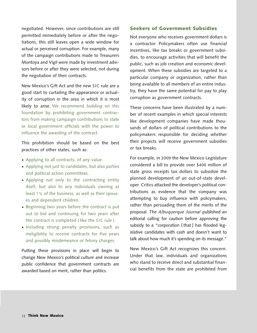negotiated. However, since contributions are still permitted immediately before or after the negotiations, this still leaves open a wide window for actual or perceived corruption. For example, many of the campaign contributions made to Treasurers Montoya and Vigil were made by investment advisors before or after they were selected, not during the negotiation of their contracts.

New Mexico's Gift Act and the new SIC rule are a good start to curtailing the appearance or actuality of corruption in the area in which it is most likely to arise. We recommend building on this foundation by prohibiting government contractors from making campaign contributions to state or local government officials with the power to influence the awarding of the contract.

This prohibition should be based on the best practices of other states, such as:

- Applying to all contracts, of any value. **·**
- Applying not just to candidates, but also parties **·** and political action committees.
- Applying not only to the contracting entity **·** itself, but also to any individuals owning at least 1% of the business, as well as their spouses and dependent children.
- Beginning two years before the contract is put out to bid and continuing for two years after the contract is completed ( like the SIC rule ).
- Including strong penalty provisions, such as ineligibility to receive contracts for five years and possibly misdemeanor or felony charges.

Putting these provisions in place will begin to change New Mexico's political culture and increase public confidence that government contracts are awarded based on merit, rather than politics.

#### **Seekers of Government Subsidies**

Not everyone who receives government dollars is a contractor. Policymakers often use financial incentives, like tax breaks or government subsidies, to encourage activities that will benefit the public, such as job creation and economic development. When these subsidies are targeted to a particular company or organization, rather than being available to all members of an entire industry, they have the same potential for pay to play corruption as government contracts.

These concerns have been illustrated by a number of recent examples in which special interests like development companies have made thousands of dollars of political contributions to the policymakers responsible for deciding whether their projects will receive government subsidies or tax breaks.

For example, in 2009 the New Mexico Legislature considered a bill to provide over \$400 million of state gross receipts tax dollars to subsidize the planned development of an out-of-state developer. Critics attacked the developer's political contributions as evidence that the company was attempting to buy influence with policymakers, rather than persuading them of the merits of the proposal. The *Albuquerque Journal* published an editorial calling for caution before approving the subsidy to a "corporation [that ] has flooded legislative candidates with cash and doesn't want to talk about how much it's spending on its message."

New Mexico's Gift Act recognizes this concern. Under that law, individuals and organizations who stand to receive direct and substantial financial benefits from the state are prohibited from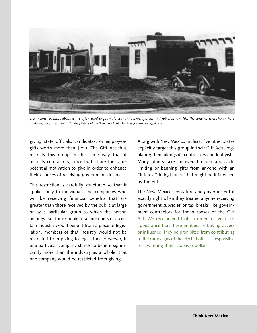

Tax incentives and subsidies are often used to promote economic development and job creation, like the construction shown here *in Albuquerque in* 1942. Courtesy Palace of the Governors Photo Archives (NMHM/DCA), #183307.

giving state officials, candidates, or employees gifts worth more than \$250. The Gift Act thus restricts this group in the same way that it restricts contractors, since both share the same potential motivation to give in order to enhance their chances of receiving government dollars.

This restriction is carefully structured so that it applies only to individuals and companies who will be receiving financial benefits that are greater than those received by the public at large or by a particular group to which the person belongs. So, for example, if all members of a certain industry would benefit from a piece of legislation, members of that industry would not be restricted from giving to legislators. However, if one particular company stands to benefit significantly more than the industry as a whole, that one company would be restricted from giving.

Along with New Mexico, at least five other states explicitly target this group in their Gift Acts, regulating them alongside contractors and lobbyists. Many others take an even broader approach, limiting or banning gifts from anyone with an "interest" in legislation that might be influenced by the gift.

The New Mexico legislature and governor got it exactly right when they treated anyone receiving government subsidies or tax breaks like government contractors for the purposes of the Gift Act. We recommend that, in order to avoid the appearance that these entities are buying access or influence, they be prohibited from contributing to the campaigns of the elected officials responsible for awarding them taxpayer dollars.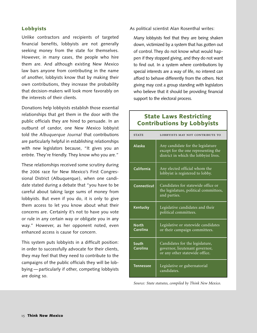#### **Lobbyists**

Unlike contractors and recipients of targeted financial benefits, lobbyists are not generally seeking money from the state for themselves. However, in many cases, the people who hire them are. And although existing New Mexico law bars anyone from contributing in the name of another, lobbyists know that by making their own contributions, they increase the probability that decision-makers will look more favorably on the interests of their clients.

Donations help lobbyists establish those essential relationships that get them in the door with the public officials they are hired to persuade. In an outburst of candor, one New Mexico lobbyist told the *Albuquerque Journal* that contributions are particularly helpful in establishing relationships with new legislators because, "It gives you an entrée. They're friendly. They know who you are."

These relationships received some scrutiny during the 2006 race for New Mexico's First Congressional District (Albuquerque), when one candidate stated during a debate that "you have to be careful about taking large sums of money from lobbyists. But even if you do, it is only to give them access to let you know about what their concerns are. Certainly it's not to have you vote or rule in any certain way or obligate you in any way." However, as her opponent noted, even enhanced access is cause for concern.

This system puts lobbyists in a difficult position: in order to successfully advocate for their clients, they may feel that they need to contribute to the campaigns of the public officials they will be lobbying — particularly if other, competing lobbyists are doing so.

As political scientist Alan Rosenthal writes:

Many lobbyists feel that they are being shaken down, victimized by a system that has gotten out of control.They do not know what would happen if they stopped giving, and they do not want to find out. In a system where contributions by special interests are a way of life, no interest can afford to behave differently from the others. Not giving may cost a group standing with legislators who believe that it should be providing financial support to the electoral process.

| <b>STATE</b>             | LOBBYISTS MAY NOT CONTRIBUTE TO                                                                                   |
|--------------------------|-------------------------------------------------------------------------------------------------------------------|
| <b>Alaska</b>            | Any candidate for the legislature<br>except for the one representing the<br>district in which the lobbyist lives. |
| California               | Any elected official whom the<br>lobbyist is registered to lobby.                                                 |
| Connecticut              | Candidates for statewide office or<br>the legislature, political committees,<br>and parties.                      |
| Kentucky                 | Legislative candidates and their<br>political committees.                                                         |
| <b>North</b><br>Carolina | Legislative or statewide candidates<br>or their campaign committees.                                              |
| South<br>Carolina        | Candidates for the legislature,<br>governor, lieutenant governor,<br>or any other statewide office.               |
| <b>Tennessee</b>         | Legislative or gubernatorial<br>candidates.                                                                       |

## **State Laws Restricting Contributions by Lobbyists**

*Source: State statutes, compiled by Think New Mexico.*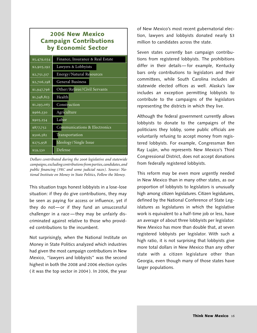## **2006 New Mexico Campaign Contributions by Economic Sector**

| \$5,479,034        | Finance, Insurance & Real Estate |
|--------------------|----------------------------------|
| \$2,905,192        | Lawyers & Lobbyists              |
| \$2,751,317        | <b>Energy/Natural Resources</b>  |
| \$2,706,198        | <b>General Business</b>          |
| \$1,947,796        | Other/Retiree/Civil Servants     |
| \$1,348,823        | Health                           |
| $\sqrt{1,293,063}$ | Construction                     |
| \$966,530          | Agriculture                      |
| \$905,254          | Labor                            |
| \$877,752          | Communications & Electronics     |
| \$506,582          | Transportation                   |
| \$275,958          | Ideology/Single Issue            |
| \$59,530           | Defense                          |

*Dollars contributed during the legislative and statewide campaigns,excluding contributionsfromparties,candidates,and public financing (PRC and some judicial races). Source: National Institute on Money in State Politics, Follow the Money.*

This situation traps honest lobbyists in a lose-lose situation: if they do give contributions, they may be seen as paying for access or influence, yet if they do not—or if they fund an unsuccessful challenger in a race —they may be unfairly discriminated against relative to those who provided contributions to the incumbent.

Not surprisingly, when the National Institute on Money in State Politics analyzed which industries had given the most campaign contributions in New Mexico, "lawyers and lobbyists" was the second highest in both the 2008 and 2006 election cycles ( it was the top sector in 2004 ). In 2006, the year

of New Mexico's most recent gubernatorial election, lawyers and lobbyists donated nearly \$3 million to candidates across the state.

Seven states currently ban campaign contributions from registered lobbyists. The prohibitions differ in their details— for example, Kentucky bars only contributions to legislators and their committees, while South Carolina includes all statewide elected offices as well. Alaska's law includes an exception permitting lobbyists to contribute to the campaigns of the legislators representing the districts in which they live.

Although the federal government currently allows lobbyists to donate to the campaigns of the politicians they lobby, some public officials are voluntarily refusing to accept money from registered lobbyists. For example, Congressman Ben Ray Luján, who represents New Mexico's Third Congressional District, does not accept donations from federally registered lobbyists.

This reform may be even more urgently needed in New Mexico than in many other states, as our proportion of lobbyists to legislators is unusually high among citizen legislatures. Citizen legislatures, defined by the National Conference of State Legislatures as legislatures in which the legislative work is equivalent to a half-time job or less, have an average of about three lobbyists per legislator. New Mexico has more than double that, at seven registered lobbyists per legislator. With such a high ratio, it is not surprising that lobbyists give more total dollars in New Mexico than any other state with a citizen legislature other than Georgia, even though many of those states have larger populations.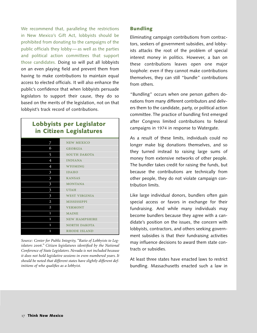We recommend that, paralleling the restrictions in New Mexico's Gift Act, lobbyists should be prohibited from donating to the campaigns of the public officials they lobby— as well as the parties and political action committees that support those candidates. Doing so will put all lobbyists on an even playing field and prevent them from having to make contributions to maintain equal access to elected officials. It will also enhance the public's confidence that when lobbyists persuade legislators to support their cause, they do so based on the merits of the legislation, not on that lobbyist's track record of contributions.

## **Lobbyists per Legislator in Citizen Legislatures**

| <b>NEW MEXICO</b>    |
|----------------------|
| <b>GEORGIA</b>       |
| SOUTH DAKOTA         |
| <b>INDIANA</b>       |
| <b>WYOMING</b>       |
| <b>IDAHO</b>         |
| <b>KANSAS</b>        |
| <b>MONTANA</b>       |
| <b>UTAH</b>          |
| <b>WEST VIRGINIA</b> |
| <b>MISSISSIPPI</b>   |
| <b>VERMONT</b>       |
| <b>MAINE</b>         |
| <b>NEW HAMPSHIRE</b> |
| <b>NORTH DAKOTA</b>  |
| <b>RHODE ISLAND</b>  |
|                      |

*Source: Center for Public Integrity, "Ratio of Lobbyists to Legislators ." Citizen legislatures identified by the National Conference of State Legislators. Nevada is not included because it does not hold legislative sessions in even-numbered years. It should be noted that different states have slightly different definitions of who qualifies as a lobbyist.*

#### **Bundling**

Eliminating campaign contributions from contractors, seekers of government subsidies, and lobbyists attacks the root of the problem of special interest money in politics. However, a ban on these contributions leaves open one major loophole: even if they cannot make contributions themselves, they can still "bundle" contributions from others.

"Bundling" occurs when one person gathers donations from many different contributors and delivers them to the candidate, party, or political action committee. The practice of bundling first emerged after Congress limited contributions to federal campaigns in 1974 in response to Watergate.

As a result of these limits, individuals could no longer make big donations themselves, and so they turned instead to raising large sums of money from extensive networks of other people. The bundler takes credit for raising the funds, but because the contributions are technically from other people, they do not violate campaign contribution limits.

Like large individual donors, bundlers often gain special access or favors in exchange for their fundraising. And while many individuals may become bundlers because they agree with a candidate's position on the issues, the concern with lobbyists, contractors, and others seeking government subsidies is that their fundraising activities may influence decisions to award them state contracts or subsidies.

At least three states have enacted laws to restrict bundling. Massachusetts enacted such a law in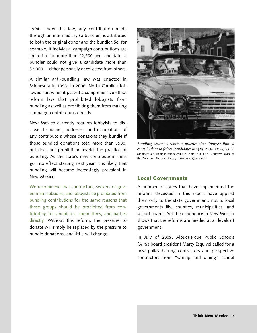1994. Under this law, any contribution made through an intermediary ( a bundler) is attributed to both the original donor and the bundler. So, for example, if individual campaign contributions are limited to no more than \$2,300 per candidate, a bundler could not give a candidate more than \$2,300 - either personally or collected from others.

A similar anti-bundling law was enacted in Minnesota in 1993. In 2006, North Carolina followed suit when it passed a comprehensive ethics reform law that prohibited lobbyists from bundling as well as prohibiting them from making campaign contributions directly.

New Mexico currently requires lobbyists to disclose the names, addresses, and occupations of any contributors whose donations they bundle if those bundled donations total more than \$500, but does not prohibit or restrict the practice of bundling. As the state's new contribution limits go into effect starting next year, it is likely that bundling will become increasingly prevalent in New Mexico.

We recommend that contractors, seekers of government subsidies, and lobbyists be prohibited from bundling contributions for the same reasons that these groups should be prohibited from contributing to candidates, committees, and parties directly. Without this reform, the pressure to donate will simply be replaced by the pressure to bundle donations, and little will change.



*Bundling became a common practice after Congress limited contributions to federal candidates in .* Photo of Congressional candidate Jack Redman campaigning in Santa Fe in 1965. Courtesy Palace of the Governors Photo Archives ( NMHM/DCA), #035602.

#### **Local Governments**

A number of states that have implemented the reforms discussed in this report have applied them only to the state government, not to local governments like counties, municipalities, and school boards. Yet the experience in New Mexico shows that the reforms are needed at all levels of government.

In July of 2009, Albuquerque Public Schools (APS ) board president Marty Esquivel called for a new policy barring contractors and prospective contractors from "wining and dining" school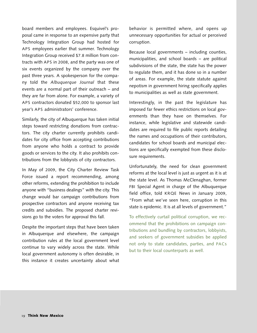board members and employees. Esquivel's proposal came in response to an expensive party that Technology Integration Group had hosted for APS employees earlier that summer. Technology Integration Group received \$7.8 million from contracts with APS in 2008, and the party was one of six events organized by the company over the past three years. A spokesperson for the company told the *Albuquerque Journal* that these events are a normal part of their outreach – and they are far from alone. For example, a variety of APS contractors donated \$52,000 to sponsor last year's APS administrators' conference.

Similarly, the city of Albuquerque has taken initial steps toward restricting donations from contractors. The city charter currently prohibits candidates for city office from accepting contributions from anyone who holds a contract to provide goods or services to the city. It also prohibits contributions from the lobbyists of city contractors.

In May of 2009, the City Charter Review Task Force issued a report recommending, among other reforms, extending the prohibition to include anyone with "business dealings" with the city. This change would bar campaign contributions from prospective contractors and anyone receiving tax credits and subsidies. The proposed charter revisions go to the voters for approval this fall.

Despite the important steps that have been taken in Albuquerque and elsewhere, the campaign contribution rules at the local government level continue to vary widely across the state. While local government autonomy is often desirable, in this instance it creates uncertainty about what

behavior is permitted where, and opens up unnecessary opportunities for actual or perceived corruption.

Because local governments – including counties, municipalities, and school boards – are political subdivisions of the state, the state has the power to regulate them, and it has done so in a number of areas. For example, the state statute against nepotism in government hiring specifically applies to municipalities as well as state government.

Interestingly, in the past the legislature has imposed far fewer ethics restrictions on local governments than they have on themselves. For instance, while legislative and statewide candidates are required to file public reports detailing the names and occupations of their contributors, candidates for school boards and municipal elections are specifically exempted from these disclosure requirements.

Unfortunately, the need for clean government reforms at the local level is just as urgent as it is at the state level. As Thomas McClenaghan, former FBI Special Agent in charge of the Albuquerque field office, told KRQE News in January 2009, "From what we've seen here, corruption in this state is epidemic. It is at all levels of government."

To effectively curtail political corruption, we recommend that the prohibitions on campaign contributions and bundling by contractors, lobbyists, and seekers of government subsidies be applied not only to state candidates, parties, and PACs but to their local counterparts as well.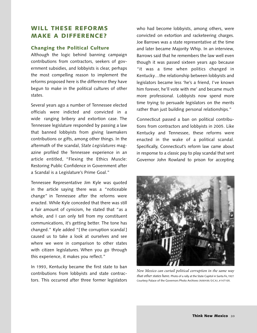## **WILL THESE REFORMS MAKE A DIFFERENCE?**

#### **Changing the Political Culture**

Although the logic behind banning campaign contributions from contractors, seekers of government subsidies, and lobbyists is clear, perhaps the most compelling reason to implement the reforms proposed here is the difference they have begun to make in the political cultures of other states.

Several years ago a number of Tennessee elected officials were indicted and convicted in a wide ranging bribery and extortion case. The Tennessee legislature responded by passing a law that banned lobbyists from giving lawmakers contributions or gifts, among other things. In the aftermath of the scandal, *State Legislatures* magazine profiled the Tennessee experience in an article entitled, "Flexing the Ethics Muscle: Restoring Public Confidence in Government after a Scandal is a Legislature's Prime Goal."

Tennessee Representative Jim Kyle was quoted in the article saying there was a "noticeable change" in Tennessee after the reforms were enacted. While Kyle conceded that there was still a fair amount of cynicism, he stated that "as a whole, and I can only tell from my constituent communications, it's getting better. The tone has changed." Kyle added "[ the corruption scandal ] caused us to take a look at ourselves and see where we were in comparison to other states with citizen legislatures. When you go through this experience, it makes you reflect."

In 1993, Kentucky became the first state to ban contributions from lobbyists and state contractors. This occurred after three former legislators who had become lobbyists, among others, were convicted on extortion and racketeering charges. Joe Barrows was a state representative at the time and later became Majority Whip. In an interview, Barrows said that he remembers the law well even though it was passed sixteen years ago because "it was a time when politics changed in Kentucky…the relationship between lobbyists and legislators became less 'he's a friend, I've known him forever, he'll vote with me' and became much more professional. Lobbyists now spend more time trying to persuade legislators on the merits rather than just building personal relationships."

Connecticut passed a ban on political contributions from contractors and lobbyists in 2005. Like Kentucky and Tennessee, these reforms were enacted in the wake of a political scandal. Specifically, Connecticut's reform law came about in response to a classic pay to play scandal that sent Governor John Rowland to prison for accepting



*New Mexico can curtail political corruption in the same way that other states have.* Photo of a rally at the State Capitol in Santa Fe,1927. Courtesy Palace of the Governors Photo Archives (NMHM/DCA), #147105.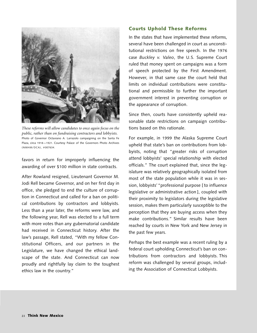

*These reforms will allow candidates to once again focus on the public, rather than on fundraising contractors and lobbyists.* Photo of Governor Octaviano A. Larrazolo campaigning on the Santa Fe Plaza, circa 1918 —1921. Courtesy Palace of the Governors Photo Archives (NMHM/DCA), # 007634.

favors in return for improperly influencing the awarding of over \$100 million in state contracts.

After Rowland resigned, Lieutenant Governor M. Jodi Rell became Governor, and on her first day in office, she pledged to end the culture of corruption in Connecticut and called for a ban on political contributions by contractors and lobbyists. Less than a year later, the reforms were law, and the following year, Rell was elected to a full term with more votes than any gubernatorial candidate had received in Connecticut history. After the law's passage, Rell stated, "With my fellow Constitutional Officers, and our partners in the Legislature, we have changed the ethical landscape of the state. And Connecticut can now proudly and rightfully lay claim to the toughest ethics law in the country."

#### **Courts Uphold These Reforms**

In the states that have implemented these reforms, several have been challenged in court as unconstitutional restrictions on free speech. In the 1976 case *Buckley v. Valeo*, the U.S. Supreme Court ruled that money spent on campaigns was a form of speech protected by the First Amendment. However, in that same case the court held that limits on individual contributions were constitutional and permissible to further the important government interest in preventing corruption or the appearance of corruption.

Since then, courts have consistently upheld reasonable state restrictions on campaign contributions based on this rationale.

For example, in 1999 the Alaska Supreme Court upheld that state's ban on contributions from lobbyists, noting that "greater risks of corruption attend lobbyists' special relationship with elected officials." The court explained that, since the legislature was relatively geographically isolated from most of the state population while it was in session, lobbyists'"professional purpose [ to influence legislative or administrative action ], coupled with their proximity to legislators during the legislative session, makes them particularly susceptible to the perception that they are buying access when they make contributions." Similar results have been reached by courts in New York and New Jersey in the past few years.

Perhaps the best example was a recent ruling by a federal court upholding Connecticut's ban on contributions from contractors and lobbyists. This reform was challenged by several groups, including the Association of Connecticut Lobbyists.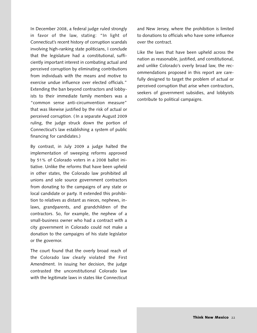In December 2008, a federal judge ruled strongly in favor of the law, stating: "In light of Connecticut's recent history of corruption scandals involving high-ranking state politicians, I conclude that the legislature had a constitutional, sufficiently important interest in combating actual and perceived corruption by eliminating contributions from individuals with the means and motive to exercise undue influence over elected officials." Extending the ban beyond contractors and lobbyists to their immediate family members was a "common sense anti-circumvention measure" that was likewise justified by the risk of actual or perceived corruption. ( In a separate August 2009 ruling, the judge struck down the portion of Connecticut's law establishing a system of public financing for candidates.)

By contrast, in July 2009 a judge halted the implementation of sweeping reforms approved by 51% of Colorado voters in a 2008 ballot initiative. Unlike the reforms that have been upheld in other states, the Colorado law prohibited all unions and sole source government contractors from donating to the campaigns of any state or local candidate or party. It extended this prohibition to relatives as distant as nieces, nephews, inlaws, grandparents, and grandchildren of the contractors. So, for example, the nephew of a small-business owner who had a contract with a city government in Colorado could not make a donation to the campaigns of his state legislator or the governor.

The court found that the overly broad reach of the Colorado law clearly violated the First Amendment. In issuing her decision, the judge contrasted the unconstitutional Colorado law with the legitimate laws in states like Connecticut and New Jersey, where the prohibition is limited to donations to officials who have some influence over the contract.

Like the laws that have been upheld across the nation as reasonable, justified, and constitutional, and unlike Colorado's overly broad law, the recommendations proposed in this report are carefully designed to target the problem of actual or perceived corruption that arise when contractors, seekers of government subsidies, and lobbyists contribute to political campaigns.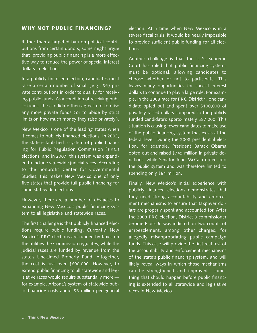#### **WHY NOT PUBLIC FINANCING?**

Rather than a targeted ban on political contributions from certain donors, some might argue that providing public financing is a more effective way to reduce the power of special interest dollars in elections.

In a publicly financed election, candidates must raise a certain number of small (e.g., \$5) private contributions in order to qualify for receiving public funds. As a condition of receiving public funds, the candidate then agrees not to raise any more private funds ( or to abide by strict limits on how much money they raise privately ).

New Mexico is one of the leading states when it comes to publicly financed elections. In 2003, the state established a system of public financing for Public Regulation Commission ( PRC ) elections, and in 2007, this system was expanded to include statewide judicial races. According to the nonprofit Center for Governmental Studies, this makes New Mexico one of only five states that provide full public financing for some statewide elections.

However, there are a number of obstacles to expanding New Mexico's public financing system to all legislative and statewide races.

The first challenge is that publicly financed elections require public funding. Currently, New Mexico's PRC elections are funded by taxes on the utilities the Commission regulates, while the judicial races are funded by revenue from the state's Unclaimed Property Fund. Altogether, the cost is just over \$600,000. However, to extend public financing to all statewide and legislative races would require substantially more for example, Arizona's system of statewide public financing costs about \$8 million per general election. At a time when New Mexico is in a severe fiscal crisis, it would be nearly impossible to provide sufficient public funding for all elections.

Another challenge is that the U.S. Supreme Court has ruled that public financing systems must be optional, allowing candidates to choose whether or not to participate. This leaves many opportunities for special interest dollars to continue to play a large role. For example, in the 2008 race for PRC District 1, one candidate opted out and spent over \$100,000 of privately raised dollars compared to the publicly funded candidate's approximately \$87,000. This situation is causing fewer candidates to make use of the public financing system that exists at the federal level. During the 2008 presidential election, for example, President Barack Obama opted out and raised \$745 million in private donations, while Senator John McCain opted into the public system and was therefore limited to spending only \$84 million.

Finally, New Mexico's initial experience with publicly financed elections demonstrates that they need strong accountability and enforcement mechanisms to ensure that taxpayer dollars are properly spent and accounted for. After the 2008 PRC election, District 3 commissioner Jerome Block Jr. was indicted on two counts of embezzlement, among other charges, for allegedly misappropriating public campaign funds. This case will provide the first real test of the accountability and enforcement mechanisms of the state's public financing system, and will likely reveal ways in which those mechanisms can be strengthened and improved — something that should happen before public financing is extended to all statewide and legislative races in New Mexico.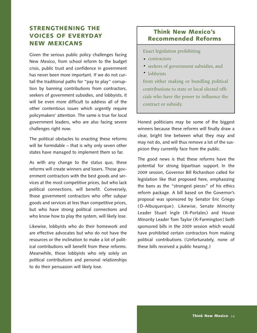# **STRENGTHENING THE VOICES OF EVERYDAY NEW MEXICANS**

Given the serious public policy challenges facing New Mexico, from school reform to the budget crisis, public trust and confidence in government has never been more important. If we do not curtail the traditional paths for "pay to play" corruption by banning contributions from contractors, seekers of government subsidies, and lobbyists, it will be even more difficult to address all of the other contentious issues which urgently require policymakers' attention. The same is true for local government leaders, who are also facing severe challenges right now.

The political obstacles to enacting these reforms will be formidable – that is why only seven other states have managed to implement them so far.

As with any change to the status quo, these reforms will create winners and losers. Those government contractors with the best goods and services at the most competitive prices, but who lack political connections, will benefit. Conversely, those government contractors who offer subpar goods and services at less than competitive prices, but who have strong political connections and who know how to play the system, will likely lose.

Likewise, lobbyists who do their homework and are effective advocates but who do not have the resources or the inclination to make a lot of political contributions will benefit from these reforms. Meanwhile, those lobbyists who rely solely on political contributions and personal relationships to do their persuasion will likely lose.

## **Think New Mexico's Recommended Reforms**

Enact legislation prohibiting

- contractors
- seekers of government subsidies, and **·**
- lobbyists **·**

from either making or bundling political contributions to state or local elected officials who have the power to influence the contract or subsidy.

Honest politicians may be some of the biggest winners because these reforms will finally draw a clear, bright line between what they may and may not do, and will thus remove a lot of the suspicion they currently face from the public.

The good news is that these reforms have the potential for strong bipartisan support. In the 2009 session, Governor Bill Richardson called for legislation like that proposed here, emphasizing the bans as the "strongest pieces" of his ethics reform package. A bill based on the Governor's proposal was sponsored by Senator Eric Griego ( D-Albuquerque ). Likewise, Senate Minority Leader Stuart Ingle (R-Portales) and House Minority Leader Tom Taylor (R-Farmington) both sponsored bills in the 2009 session which would have prohibited certain contractors from making political contributions. (Unfortunately, none of these bills received a public hearing.)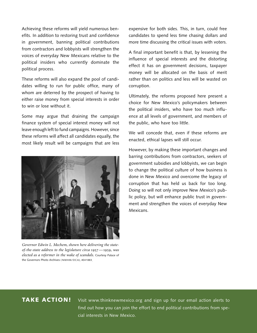Achieving these reforms will yield numerous benefits. In addition to restoring trust and confidence in government, banning political contributions from contractors and lobbyists will strengthen the voices of everyday New Mexicans relative to the political insiders who currently dominate the political process.

These reforms will also expand the pool of candidates willing to run for public office, many of whom are deterred by the prospect of having to either raise money from special interests in order to win or lose without it.

Some may argue that draining the campaign finance system of special interest money will not leave enough left to fund campaigns. However, since these reforms will affect all candidates equally, the most likely result will be campaigns that are less



*Governor Edwin L. Mechem, shown here delivering the stateof-the-state address to the legislature circa* 1957—1959, was *elected as a reformer in the wake of scandals.* Courtesy Palace of the Governors Photo Archives ( NMHM/DCA), #041883.

expensive for both sides. This, in turn, could free candidates to spend less time chasing dollars and more time discussing the critical issues with voters.

A final important benefit is that, by lessening the influence of special interests and the distorting effect it has on government decisions, taxpayer money will be allocated on the basis of merit rather than on politics and less will be wasted on corruption.

Ultimately, the reforms proposed here present a choice for New Mexico's policymakers between the political insiders, who have too much influence at all levels of government, and members of the public, who have too little.

We will concede that, even if these reforms are enacted, ethical lapses will still occur.

However, by making these important changes and barring contributions from contractors, seekers of government subsidies and lobbyists, we can begin to change the political culture of how business is done in New Mexico and overcome the legacy of corruption that has held us back for too long. Doing so will not only improve New Mexico's public policy, but will enhance public trust in government and strengthen the voices of everyday New Mexicans.

## **TAKE ACTION!**

Visit www.thinknewmexico.org and sign up for our email action alerts to find out how you can join the effort to end political contributions from special interests in New Mexico.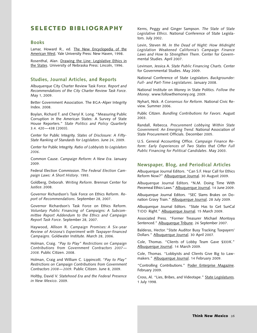## **SELECTED BIBLIOGRAPHY**

#### **Books**

Lamar, Howard R., ed. The New Encyclopedia of the American West. Yale University Press: New Haven, 1998.

Rosenthal, Alan. Drawing the Line: Legislative Ethics in the States. University of Nebraska Press: Lincoln, 1996.

#### **Studies, Journal Articles, and Reports**

Albuquerque City Charter Review Task Force. *Report and Recommendations of the City Charter Review Task Force*. May 1, 2009.

Better Government Association. The BGA-Alper Integrity Index. 2008.

Boylan, Richard T. and Cheryl X. Long. "Measuring Public Corruption in the American States: A Survey of State House Reporters." *State Politics and Policy Quarterly* 3.4. 420 — 438 ( 2003).

Center for Public Integrity. *States of Disclosure: A Fifty-State Ranking of Standards for Legislators*. June 24, 2009.

Center for Public Integrity. *Ratio of Lobbyists to Legislators 2006*.

Common Cause. *Campaign Reform: A New Era*. January 2009.

Federal Election Commission. *The Federal Election Campaign Laws: A Short History*. 1993.

Goldberg, Deborah. *Writing Reform*. Brennan Center for Justice. 2008.

Governor Richardson's Task Force on Ethics Reform. *Report of Recommendations*. September 28, 2007.

Governor Richardson's Task Force on Ethics Reform. *Voluntary Public Financing of Campaigns: A Subcommittee Report Addendum to the Ethics and Campaign Report Task Force*. September 28, 2007.

Haywood, Allison R. *Campaign Promises: A Six-year Review of Arizona's Experiment with Taxpayer-financed Campaigns*. Goldwater Institute. March 28, 2006.

Holman, Craig. *"Pay to Play" Restrictions on Campaign Contributions from Government Contractors 2007 — 2008.* Public Citizen. 2008.

Holman, Craig and William C. Lippincott. *"Pay to Play" Restrictions on Campaign Contributions from Government Contractors 2008 — 2009.* Public Citizen. June 8, 2009.

Holtby, David V. *Statehood Era and the Federal Presence in New Mexico*. 2009.

Kerns, Peggy and Ginger Sampson. *The State of State Legislative Ethics*. National Conference of State Legislators. July 2002.

Levin, Steven M. *In the Dead of Night: How Midnight Legislation Weakened California's Campaign Finance Laws and How to Strengthen Them*. Center for Governmental Studies. April 2007.

Levinson, Jessica A. *State Public Financing Charts.* Center for Governmental Studies. May 2009.

National Conference of State Legislators. *Backgrounder: Full- and Part-Time Legislatures*. January 2008.

National Institute on Money in State Politics. *Follow the Money*. www.followthemoney.org. 2009.

Nyhart, Nick. *A Consensus for Reform*. National Civic Review. Summer 2006.

Public Citizen. *Bundling Contributions for Favors*. August 2003.

Randall, Rebecca. *Procurement Lobbying Within State Government: An Emerging Trend*. National Association of State Procurement Officials. December 2005.

U.S. General Accounting Office. *Campaign Finance Reform: Early Experiences of Two States that Offer Full Public Financing for Political Candidates*. May 2003.

#### **Newspaper, Blog, and Periodical Articles**

Albuquerque Journal Editors. "Can S.F. Hear Call for Ethics Reform Now?" Albuquerque Journal. 30 August 2009.

Albuquerque Journal Editors. "N.M. Doing Time With Piecemeal Ethics Laws." Albuquerque Journal. 14 June 2009.

Albuquerque Journal Editors. "SEC Slams Brakes on Donation Gravy Train." Albuquerque Journal. 28 July 2009.

Albuquerque Journal Editors. "State Has to Get SunCal TIDD Right." Albuquerque Journal. 15 March 2009.

Associated Press. "Former Treasurer Michael Montoya Sentenced." Albuquerque Tribune. 26 September 2007.

Balderas, Hector."State Auditor Busy Tracking Taxpayers' Dollars." Albuquerque Journal. 30 April 2007.

Cole, Thomas. "Clients of Lobby Team Gave \$333K." Albuquerque Journal. 14 March 2009.

Cole, Thomas. "Lobbyists and Clients Give Big to Lawmakers." Albuquerque Journal. 14 February 2009.

"Controlling Contributions." Poder Enterprise Magazine. February 2009.

Cross, Al. "Lies, Bribes, and Videotape." State Legislatures. 1 July 1998.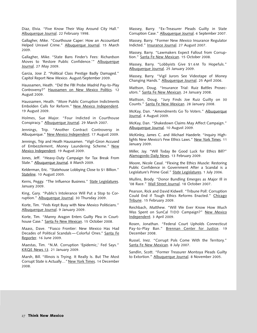Diaz, Elvia. "Five Know Their Way Around City Hall." Albuquerque Journal. 22 February 1998.

Gallagher, Mike. "Courthouse Caper: How an Accountant Helped Unravel Crime." Albuquerque Journal. 15 March 2009.

Gallagher, Mike. "State Bans Finder's Fees: Richardson Moves to 'Restore Public Confidence.'" Albuquerque Journal. 27 May 2009.

Garcia, Jose Z. "Political Class Prestige Badly Damaged." Capitol Report New Mexico. August/September 2009.

Haussamen, Heath. "Did the FBI Probe Madrid Pay-to-Play Controversy?" Haussamen on New Mexico Politics. 12 August 2009.

Haussamen, Heath. "More Public Corruption Indictments Embolden Calls for Reform." New Mexico Independent. 19 August 2009.

Holmes, Sue Major. "Four Indicted in Courthouse Conspiracy." Albuquerque Journal. 29 March 2007.

Jennings, Trip. "Another Contract Controversy in Albuquerque." New Mexico Independent. 17 August 2009.

Jennings, Trip and Heath Haussamen. "Vigil-Giron Accused of Embezzlement, Money Laundering Scheme." New Mexico Independent. 19 August 2009.

Jones, Jeff. "Heavy-Duty Campaign for Tax Break From State." Albuquerque Journal. 8 March 2009.

Kelderman, Eric. "Statehouse Lobbying Close to \$1 Billion." Stateline. 10 August 2005.

Kerns, Peggy. "The Influence Business." State Legislatures. January 2009.

King, Gary. "Public's Intolerance Will Put a Stop to Corruption." Albuquerque Journal. 30 Thursday 2009.

Korte, Tim. "Feds Kept Busy with New Mexico Politicians." Albuquerque Journal. 9 January 2009.

Korte, Tim. "Manny Aragon Enters Guilty Plea in Courthouse Case." Santa Fe New Mexican. 15 October 2008.

Maass, Dave. "Fiasco Frontier: New Mexico Has Had Decades of Political Scandals - Colorful Ones." Santa Fe Reporter. 16 June 2009.

Maestas, Tim. "N.M. Corruption 'Epidemic,' Fed Says." KRQE News 13. 21 January 2009.

Marsh, Bill. "Illinois is Trying. It Really Is. But The Most Corrupt State is Actually..." New York Times. 14 December 2008.

Massey, Barry. "Ex-Treasurer Pleads Guilty in State Corruption Case." Albuquerque Journal. 6 September 2007.

Massey, Barry. "Former New Mexico Insurance Regulator Indicted." Insurance Journal. 27 August 2007.

Massey, Barry. "Lawmakers Expect Fallout from Corruption." Santa Fe New Mexican. 15 October 2008.

Massey, Barry. "Lobbyists Give \$1.6M To Hopefuls." Albuquerque Journal. 25 January 2009.

Massey, Barry. "Vigil Jurors See Videotape of Money Changing Hands." Albuquerque Journal. 25 April 2006.

Mattson, Doug. "Insurance Trial: Ruiz Battles Prosecutors." Santa Fe New Mexican. 24 January 2008.

Mattson, Doug. "Jury Finds Joe Ruiz Guilty on 30 Counts." Santa Fe New Mexican. 28 January 2008.

McKay, Dan. "Amendments Go To Voters." Albuquerque Journal. 4 August 2009.

McKay, Dan. "Shakedown Claims May Affect Campaign." Albuquerque Journal. 10 August 2009.

McKinley, James C. and Michael Haederle. "Inquiry Highlights New Mexico's Few Ethics Laws." New York Times. 11 January 2009.

Miller, Jay. "Will Today Be Good Luck for Ethics Bill?" Alamogordo Daily News. 13 February 2009.

Moore, Nicole Casal. "Flexing the Ethics Muscle: Restoring Public Confidence in Government After a Scandal is a Legislature's Prime Goal." State Legislatures. 1 July 2006.

Mullins, Brody. "Donor Bundling Emerges as Major Ill in '08 Race." Wall Street Journal. 18 October 2007.

Pearson, Rick and David Kidwell. "Tribune Poll: Corruption Could End if Tough Ethics Reforms Enacted." Chicago Tribune. 15 February 2009.

Reichbach, Matthew. "Will We Ever Know How Much Was Spent on SunCal TIDD Campaign?" New Mexico Independent. 3 April 2009.

Rosen, Jonathan. "Federal Court Upholds Connecticut Pay-to-Play Ban." Brennan Center for Justice. 19 December 2008.

Russel, Inez. "Corrupt Pols Come With the Territory." Santa Fe New Mexican. 8 July 2007.

Sandlin, Scott. "Former Treasurer Montoya Pleads Guilty to Extortion." Albuquerque Journal. 8 November 2005.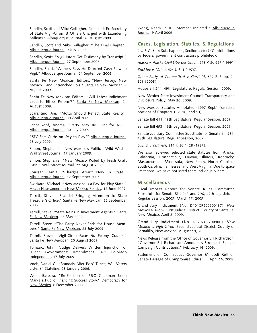Sandlin, Scott and Mike Gallagher. "Indicted: Ex-Secretary of State Vigil-Giron, 3 Others Charged with Laundering Millions." Albuquerque Journal. 20 August 2009.

Sandlin, Scott and Mike Gallagher. "The Final Chapter." Albuquerque Journal. 9 July 2009.

Sandlin, Scott. "Vigil Jurors Get Testimony by Transcript." Albuquerque Journal. 27 September 2006.

Sandlin, Scott. "Witness Says He Directed Cash Flow to Vigil." Albuquerque Journal. 21 September 2006.

Santa Fe New Mexican Editors. "New Jersey, New Mexico…and Entrenched Pols." Santa Fe New Mexican. 2 August 2009.

Santa Fe New Mexican Editors. "Will Latest Indictment Lead to Ethics Reform?" Santa Fe New Mexican. 21 August 2009.

Scarantino, Jim. "Motto Should Reflect State Reality." Albuquerque Journal. 30 April 2009.

Schoellkopf, Andrea. "Party May Be Over for APS." Albuquerque Journal. 30 July 2009.

"SEC Sets Curbs on 'Pay-to-Play.'" Albuquerque Journal. 23 July 2009.

Simon, Stephanie. "New Mexico's Political Wild West." Wall Street Journal. 17 January 2009.

Simon, Stephanie. "New Mexico Roiled by Fresh Graft Case." Wall Street Journal. 22 August 2009.

Soussan, Tania. "Charges Aren't New In State." Albuquerque Journal. 17 September 2005.

Swickard, Michael. "New Mexico is a Pay-for-Play State." Heath Haussamen on New Mexico Politics. 12 June 2009.

Terrell, Steve. "Scandal Bringing Attention to State Treasurer's Office." Santa Fe New Mexican. 22 September 2005.

Terrell, Steve. "State Reins in Investment Agents." Santa Fe New Mexican. 27 May 2009.

Terrell, Steve. "The Party Never Ends for House Members." Santa Fe New Mexican. 23 July 2009.

Terrell, Steve. "Vigil-Giron Faces 50 Felony Counts." Santa Fe New Mexican. 20 August 2009.

Tomasic, John. "Judge Delivers Written Injunction of 'Clean Government' Amendment 54." Colorado Independent. 17 July 2009.

Vock, Daniel C. "Scandals Alter Pols' Tunes; Will Voters Listen?" Stateline. 23 January 2006.

Wold, Barbara. "Re-Election of PRC Chairman Jason Marks a Public Financing Success Story." Democracy for New Mexico. 8 December 2008.

Wong, Raam. "PRC Member Indicted." Albuquerque Journal. 9 April 2009.

#### **Cases, Legislation, Statutes, & Regulations**

2 U.S.C. § 14 Subchapter 1, Section 441(c ) (Contributions by federal government contractors prohibited).

*Alaska v. Alaska Civil Liberties Union*, 978 P. 2d 597 (1999).

*Buckley v. Valeo*, 424 U.S. 1 (1976).

*Green Party of Connecticut v. Garfield*, 537 F. Supp. 2d 359 ( 2008 ).

House Bill 244, 49th Legislature, Regular Session, 2009.

New Mexico State Investment Council. Transparency and Disclosure Policy. May 26, 2009.

New Mexico Statutes Annotated (1997 Repl.) (selected portions of Chapters 1, 2, 10, and 13).

Senate Bill 611, 49th Legislature, Regular Session, 2009.

Senate Bill 693, 49th Legislature, Regular Session, 2009.

Senate Judiciary Committee Substitute for Senate Bill 931, 48th Legislature, Regular Session, 2007.

*U.S. v. Troutman*, 814 F. 2d 1428 (1987).

We also reviewed selected state statutes from Alaska, California, Connecticut, Hawaii, Illinois, Kentucky, Massachusetts, Minnesota, New Jersey, North Carolina, South Carolina, Tennessee, and West Virginia. Due to space limitations, we have not listed them individually here.

#### **Miscellaneous**

Fiscal Impact Report for Senate Rules Committee Substitute for Senate Bills 263 and 296, 49th Legislature, Regular Session, 2009, March 17, 2009.

Grand Jury Indictment (No. D101CR200900137). *New Mexico v. Block*. First Judicial District, County of Santa Fe, New Mexico. April 8, 2009.

Grand Jury Indictment ( No. D0202CR200900). *New Mexico v. Vigil-Giron*. Second Judicial District, County of Bernalillo, New Mexico. August 19, 2009.

News Release from the Office of Governor Bill Richardson. "Governor Bill Richardson Announces Strongest Ban on Campaign Contributions." February 16, 2009.

Statement of Connecticut Governor M. Jodi Rell on Senate Passage of Compromise Ethics Bill. April 16, 2008.